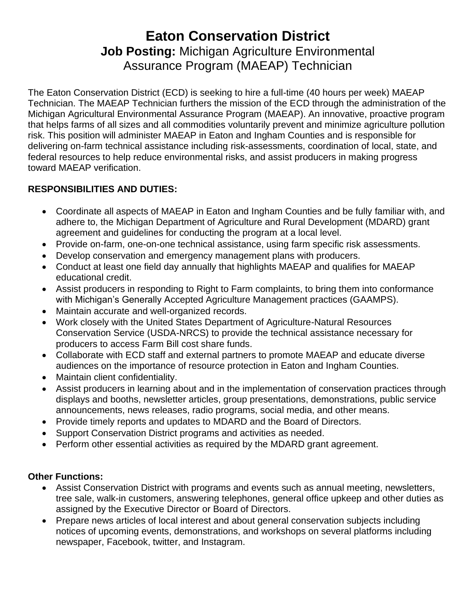# **Eaton Conservation District Job Posting:** Michigan Agriculture Environmental Assurance Program (MAEAP) Technician

The Eaton Conservation District (ECD) is seeking to hire a full-time (40 hours per week) MAEAP Technician. The MAEAP Technician furthers the mission of the ECD through the administration of the Michigan Agricultural Environmental Assurance Program (MAEAP). An innovative, proactive program that helps farms of all sizes and all commodities voluntarily prevent and minimize agriculture pollution risk. This position will administer MAEAP in Eaton and Ingham Counties and is responsible for delivering on-farm technical assistance including risk-assessments, coordination of local, state, and federal resources to help reduce environmental risks, and assist producers in making progress toward MAEAP verification.

## **RESPONSIBILITIES AND DUTIES:**

- Coordinate all aspects of MAEAP in Eaton and Ingham Counties and be fully familiar with, and adhere to, the Michigan Department of Agriculture and Rural Development (MDARD) grant agreement and guidelines for conducting the program at a local level.
- Provide on-farm, one-on-one technical assistance, using farm specific risk assessments.
- Develop conservation and emergency management plans with producers.
- Conduct at least one field day annually that highlights MAEAP and qualifies for MAEAP educational credit.
- Assist producers in responding to Right to Farm complaints, to bring them into conformance with Michigan's Generally Accepted Agriculture Management practices (GAAMPS).
- Maintain accurate and well-organized records.
- Work closely with the United States Department of Agriculture-Natural Resources Conservation Service (USDA-NRCS) to provide the technical assistance necessary for producers to access Farm Bill cost share funds.
- Collaborate with ECD staff and external partners to promote MAEAP and educate diverse audiences on the importance of resource protection in Eaton and Ingham Counties.
- Maintain client confidentiality.
- Assist producers in learning about and in the implementation of conservation practices through displays and booths, newsletter articles, group presentations, demonstrations, public service announcements, news releases, radio programs, social media, and other means.
- Provide timely reports and updates to MDARD and the Board of Directors.
- Support Conservation District programs and activities as needed.
- Perform other essential activities as required by the MDARD grant agreement.

#### **Other Functions:**

- Assist Conservation District with programs and events such as annual meeting, newsletters, tree sale, walk-in customers, answering telephones, general office upkeep and other duties as assigned by the Executive Director or Board of Directors.
- Prepare news articles of local interest and about general conservation subjects including notices of upcoming events, demonstrations, and workshops on several platforms including newspaper, Facebook, twitter, and Instagram.